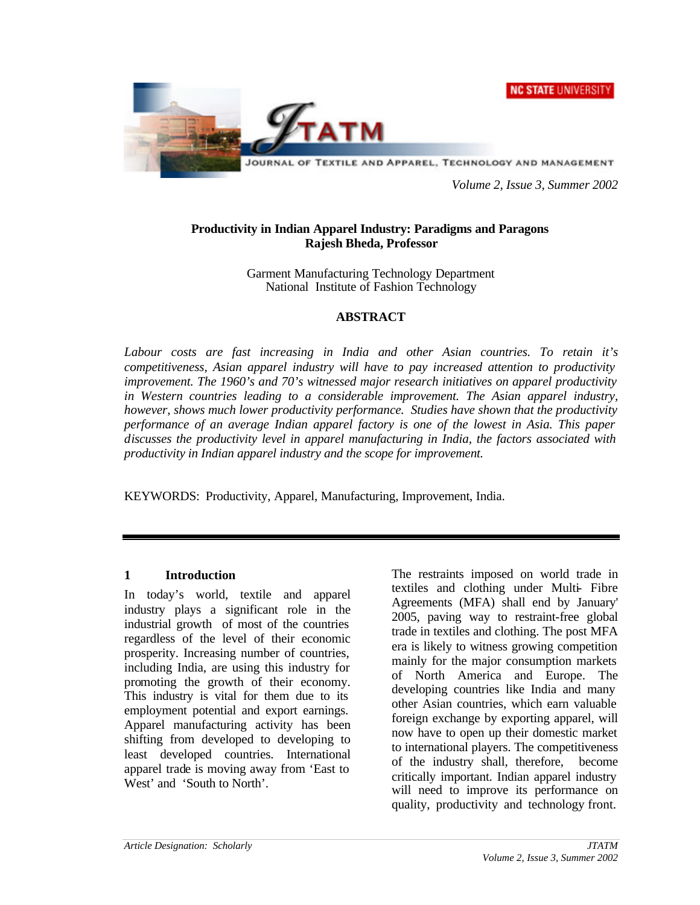**NC STATE UNIVERSITY** 



*Volume 2, Issue 3, Summer 2002*

### **Productivity in Indian Apparel Industry: Paradigms and Paragons Rajesh Bheda, Professor**

Garment Manufacturing Technology Department National Institute of Fashion Technology

### **ABSTRACT**

*Labour costs are fast increasing in India and other Asian countries. To retain it's competitiveness, Asian apparel industry will have to pay increased attention to productivity improvement. The 1960's and 70's witnessed major research initiatives on apparel productivity in Western countries leading to a considerable improvement. The Asian apparel industry, however, shows much lower productivity performance. Studies have shown that the productivity performance of an average Indian apparel factory is one of the lowest in Asia. This paper discusses the productivity level in apparel manufacturing in India, the factors associated with productivity in Indian apparel industry and the scope for improvement.*

KEYWORDS: Productivity, Apparel, Manufacturing, Improvement, India.

### **1 Introduction**

In today's world, textile and apparel industry plays a significant role in the industrial growth of most of the countries regardless of the level of their economic prosperity. Increasing number of countries, including India, are using this industry for promoting the growth of their economy. This industry is vital for them due to its employment potential and export earnings. Apparel manufacturing activity has been shifting from developed to developing to least developed countries. International apparel trade is moving away from 'East to West' and 'South to North'.

The restraints imposed on world trade in textiles and clothing under Multi- Fibre Agreements (MFA) shall end by January' 2005, paving way to restraint-free global trade in textiles and clothing. The post MFA era is likely to witness growing competition mainly for the major consumption markets of North America and Europe. The developing countries like India and many other Asian countries, which earn valuable foreign exchange by exporting apparel, will now have to open up their domestic market to international players. The competitiveness of the industry shall, therefore, become critically important. Indian apparel industry will need to improve its performance on quality, productivity and technology front.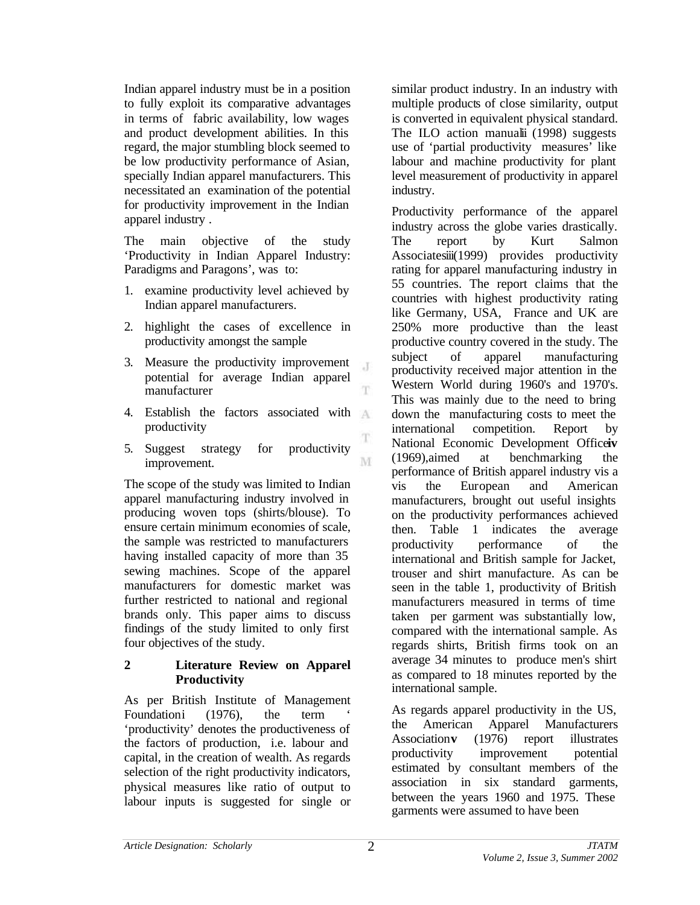Indian apparel industry must be in a position to fully exploit its comparative advantages in terms of fabric availability, low wages and product development abilities. In this regard, the major stumbling block seemed to be low productivity performance of Asian, specially Indian apparel manufacturers. This necessitated an examination of the potential for productivity improvement in the Indian apparel industry .

The main objective of the study 'Productivity in Indian Apparel Industry: Paradigms and Paragons', was to:

- 1. examine productivity level achieved by Indian apparel manufacturers.
- 2. highlight the cases of excellence in productivity amongst the sample
- 3. Measure the productivity improvement potential for average Indian apparel manufacturer
- 4. Establish the factors associated with  $\Delta$ productivity
- 5. Suggest strategy for productivity improvement.

The scope of the study was limited to Indian apparel manufacturing industry involved in producing woven tops (shirts/blouse). To ensure certain minimum economies of scale, the sample was restricted to manufacturers having installed capacity of more than 35 sewing machines. Scope of the apparel manufacturers for domestic market was further restricted to national and regional brands only. This paper aims to discuss findings of the study limited to only first four objectives of the study.

### **2 Literature Review on Apparel Productivity**

As per British Institute of Management Foundationi (1976), the term 'productivity' denotes the productiveness of the factors of production, i.e. labour and capital, in the creation of wealth. As regards selection of the right productivity indicators, physical measures like ratio of output to labour inputs is suggested for single or similar product industry. In an industry with multiple products of close similarity, output is converted in equivalent physical standard. The ILO action manualii (1998) suggests use of 'partial productivity measures' like labour and machine productivity for plant level measurement of productivity in apparel industry.

Productivity performance of the apparel industry across the globe varies drastically. The report by Kurt Salmon Associatesiii(1999) provides productivity rating for apparel manufacturing industry in 55 countries. The report claims that the countries with highest productivity rating like Germany, USA, France and UK are 250% more productive than the least productive country covered in the study. The subject of apparel manufacturing productivity received major attention in the Western World during 1960's and 1970's. This was mainly due to the need to bring down the manufacturing costs to meet the international competition. Report by National Economic Development Office**iv** (1969),aimed at benchmarking the performance of British apparel industry vis a vis the European and American manufacturers, brought out useful insights on the productivity performances achieved then. Table 1 indicates the average productivity performance of the international and British sample for Jacket, trouser and shirt manufacture. As can be seen in the table 1, productivity of British manufacturers measured in terms of time taken per garment was substantially low, compared with the international sample. As regards shirts, British firms took on an average 34 minutes to produce men's shirt as compared to 18 minutes reported by the international sample.

As regards apparel productivity in the US, the American Apparel Manufacturers Association**v** (1976) report illustrates productivity improvement potential estimated by consultant members of the association in six standard garments, between the years 1960 and 1975. These garments were assumed to have been

 $\cdot$ T

T.

T

M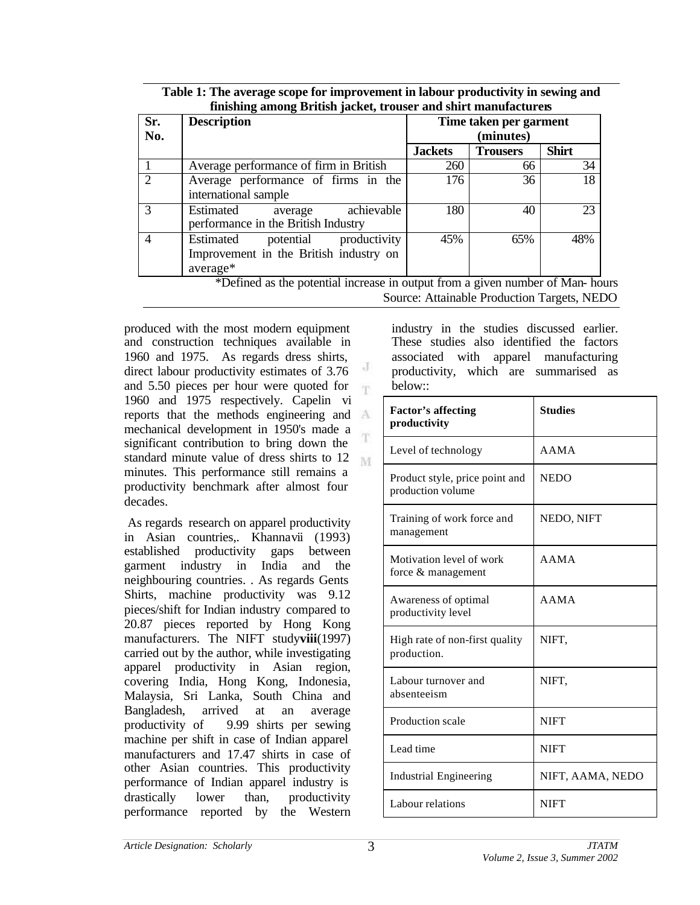| Sr.<br>No.     | <b>Description</b>                                                                           | Time taken per garment<br>(minutes) |                 |              |  |
|----------------|----------------------------------------------------------------------------------------------|-------------------------------------|-----------------|--------------|--|
|                |                                                                                              | <b>Jackets</b>                      | <b>Trousers</b> | <b>Shirt</b> |  |
|                | Average performance of firm in British                                                       | 260                                 | 66              | 34           |  |
| $\overline{2}$ | Average performance of firms in the<br>international sample                                  | 176                                 | 36              | 18           |  |
| 3              | achievable<br>Estimated<br>average<br>performance in the British Industry                    | 180                                 | 40              | 23           |  |
| $\overline{4}$ | productivity<br>Estimated<br>potential<br>Improvement in the British industry on<br>average* | 45%                                 | 65%             | 48%          |  |

| Table 1: The average scope for improvement in labour productivity in sewing and |
|---------------------------------------------------------------------------------|
| finishing among British jacket, trouser and shirt manufacturers                 |

\*Defined as the potential increase in output from a given number of Man- hours Source: Attainable Production Targets, NEDO

produced with the most modern equipment and construction techniques available in 1960 and 1975. As regards dress shirts, J direct labour productivity estimates of 3.76 and 5.50 pieces per hour were quoted for m 1960 and 1975 respectively. Capelin vi reports that the methods engineering and mechanical development in 1950's made a 'n significant contribution to bring down the standard minute value of dress shirts to 12 M minutes. This performance still remains a productivity benchmark after almost four decades.

 As regards research on apparel productivity in Asian countries,. Khannavii (1993) established productivity gaps between garment industry in India and the neighbouring countries. . As regards Gents Shirts, machine productivity was 9.12 pieces/shift for Indian industry compared to 20.87 pieces reported by Hong Kong manufacturers. The NIFT study**viii**(1997) carried out by the author, while investigating apparel productivity in Asian region, covering India, Hong Kong, Indonesia, Malaysia, Sri Lanka, South China and Bangladesh, arrived at an average productivity of 9.99 shirts per sewing machine per shift in case of Indian apparel manufacturers and 17.47 shirts in case of other Asian countries. This productivity performance of Indian apparel industry is drastically lower than, productivity performance reported by the Western

industry in the studies discussed earlier. These studies also identified the factors associated with apparel manufacturing productivity, which are summarised as below::

| <b>Factor's affecting</b><br>productivity           | <b>Studies</b>   |
|-----------------------------------------------------|------------------|
| Level of technology                                 | AAMA             |
| Product style, price point and<br>production volume | <b>NEDO</b>      |
| Training of work force and<br>management            | NEDO, NIFT       |
| Motivation level of work<br>force & management      | AAMA             |
| Awareness of optimal<br>productivity level          | AAMA             |
| High rate of non-first quality<br>production.       | NIFT.            |
| Labour turnover and<br>absenteeism                  | NIFT.            |
| Production scale                                    | <b>NIFT</b>      |
| Lead time                                           | <b>NIFT</b>      |
| <b>Industrial Engineering</b>                       | NIFT, AAMA, NEDO |
| Labour relations                                    | <b>NIFT</b>      |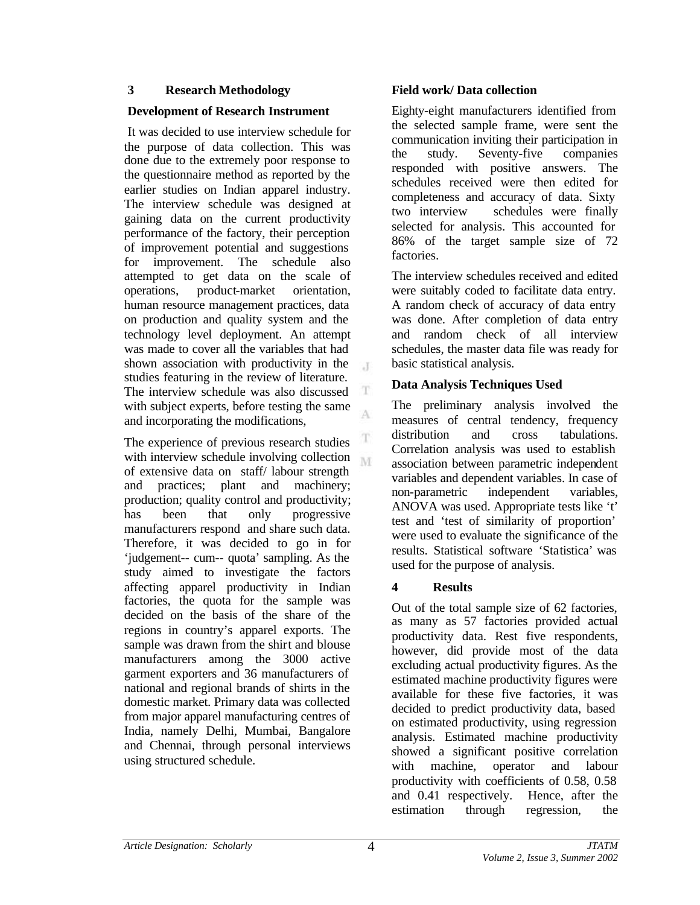#### **3 Research Methodology**

#### **Development of Research Instrument**

 It was decided to use interview schedule for the purpose of data collection. This was done due to the extremely poor response to the questionnaire method as reported by the earlier studies on Indian apparel industry. The interview schedule was designed at gaining data on the current productivity performance of the factory, their perception of improvement potential and suggestions for improvement. The schedule also attempted to get data on the scale of operations, product-market orientation, human resource management practices, data on production and quality system and the technology level deployment. An attempt was made to cover all the variables that had shown association with productivity in the  $\mathcal{X}$ studies featuring in the review of literature. The interview schedule was also discussed with subject experts, before testing the same A and incorporating the modifications,

The experience of previous research studies with interview schedule involving collection M of extensive data on staff/ labour strength and practices; plant and machinery; production; quality control and productivity; has been that only progressive manufacturers respond and share such data. Therefore, it was decided to go in for 'judgement-- cum-- quota' sampling. As the study aimed to investigate the factors affecting apparel productivity in Indian factories, the quota for the sample was decided on the basis of the share of the regions in country's apparel exports. The sample was drawn from the shirt and blouse manufacturers among the 3000 active garment exporters and 36 manufacturers of national and regional brands of shirts in the domestic market. Primary data was collected from major apparel manufacturing centres of India, namely Delhi, Mumbai, Bangalore and Chennai, through personal interviews using structured schedule.

#### **Field work/ Data collection**

Eighty-eight manufacturers identified from the selected sample frame, were sent the communication inviting their participation in the study. Seventy-five companies responded with positive answers. The schedules received were then edited for completeness and accuracy of data. Sixty two interview schedules were finally selected for analysis. This accounted for 86% of the target sample size of 72 factories.

The interview schedules received and edited were suitably coded to facilitate data entry. A random check of accuracy of data entry was done. After completion of data entry and random check of all interview schedules, the master data file was ready for basic statistical analysis.

### **Data Analysis Techniques Used**

The preliminary analysis involved the measures of central tendency, frequency distribution and cross tabulations. Correlation analysis was used to establish association between parametric independent variables and dependent variables. In case of non-parametric independent variables, ANOVA was used. Appropriate tests like 't' test and 'test of similarity of proportion' were used to evaluate the significance of the results. Statistical software 'Statistica' was used for the purpose of analysis.

## **4 Results**

Out of the total sample size of 62 factories, as many as 57 factories provided actual productivity data. Rest five respondents, however, did provide most of the data excluding actual productivity figures. As the estimated machine productivity figures were available for these five factories, it was decided to predict productivity data, based on estimated productivity, using regression analysis. Estimated machine productivity showed a significant positive correlation with machine, operator and labour productivity with coefficients of 0.58, 0.58 and 0.41 respectively. Hence, after the estimation through regression, the

T

Ŧ.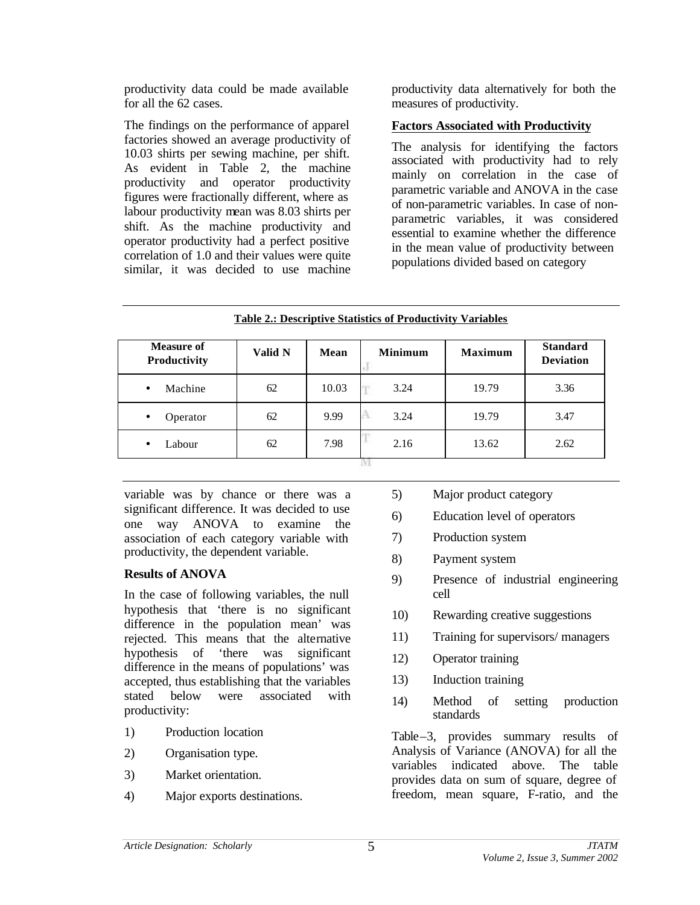productivity data could be made available for all the 62 cases.

The findings on the performance of apparel factories showed an average productivity of 10.03 shirts per sewing machine, per shift. As evident in Table 2, the machine productivity and operator productivity figures were fractionally different, where as labour productivity mean was 8.03 shirts per shift. As the machine productivity and operator productivity had a perfect positive correlation of 1.0 and their values were quite similar, it was decided to use machine productivity data alternatively for both the measures of productivity.

## **Factors Associated with Productivity**

The analysis for identifying the factors associated with productivity had to rely mainly on correlation in the case of parametric variable and ANOVA in the case of non-parametric variables. In case of nonparametric variables, it was considered essential to examine whether the difference in the mean value of productivity between populations divided based on category

| <b>Table 2.: Descriptive Statistics of Productivity Variables</b> |         |       |                |                |                                     |
|-------------------------------------------------------------------|---------|-------|----------------|----------------|-------------------------------------|
| <b>Measure of</b><br>Productivity                                 | Valid N | Mean  | <b>Minimum</b> | <b>Maximum</b> | <b>Standard</b><br><b>Deviation</b> |
| Machine<br>$\bullet$                                              | 62      | 10.03 | 3.24           | 19.79          | 3.36                                |
| Operator<br>$\bullet$                                             | 62      | 9.99  | 3.24           | 19.79          | 3.47                                |
| Labour<br>$\bullet$                                               | 62      | 7.98  | 2.16           | 13.62          | 2.62                                |
|                                                                   |         |       |                |                |                                     |

**Table 2.: Descriptive Statistics of Productivity Variables**

variable was by chance or there was a significant difference. It was decided to use one way ANOVA to examine the association of each category variable with productivity, the dependent variable.

## **Results of ANOVA**

In the case of following variables, the null hypothesis that 'there is no significant difference in the population mean' was rejected. This means that the alternative hypothesis of 'there was significant difference in the means of populations' was accepted, thus establishing that the variables stated below were associated with productivity:

- 1) Production location
- 2) Organisation type.
- 3) Market orientation.
- 4) Major exports destinations.
- 5) Major product category
- 6) Education level of operators
- 7) Production system
- 8) Payment system
- 9) Presence of industrial engineering cell
- 10) Rewarding creative suggestions
- 11) Training for supervisors/ managers
- 12) Operator training
- 13) Induction training
- 14) Method of setting production standards

Table–3, provides summary results of Analysis of Variance (ANOVA) for all the variables indicated above. The table provides data on sum of square, degree of freedom, mean square, F-ratio, and the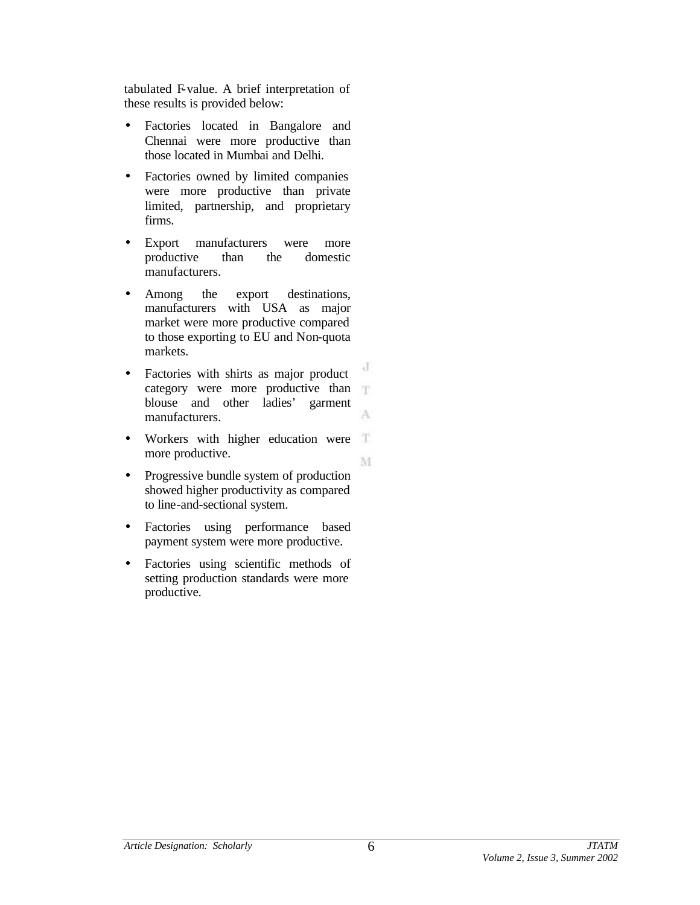tabulated F-value. A brief interpretation of these results is provided below:

- Factories located in Bangalore and Chennai were more productive than those located in Mumbai and Delhi.
- Factories owned by limited companies were more productive than private limited, partnership, and proprietary firms.
- Export manufacturers were more productive than the domestic manufacturers.
- Among the export destinations, manufacturers with USA as major market were more productive compared to those exporting to EU and Non-quota markets.
- J • Factories with shirts as major product category were more productive than blouse and other ladies' garment A manufacturers.
- Workers with higher education were more productive. M
- Progressive bundle system of production showed higher productivity as compared to line-and-sectional system.
- Factories using performance based payment system were more productive.
- Factories using scientific methods of setting production standards were more productive.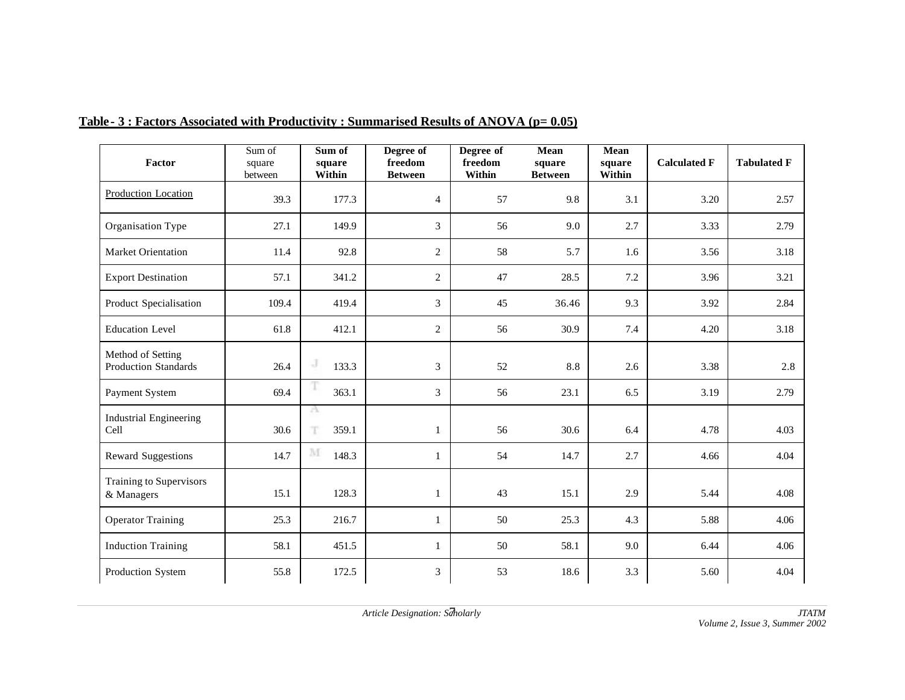| Factor                                           | Sum of<br>square<br>between | Sum of<br>square<br>Within | Degree of<br>freedom<br><b>Between</b> | Degree of<br>freedom<br>Within | Mean<br>square<br><b>Between</b> | Mean<br>square<br>Within | <b>Calculated F</b> | <b>Tabulated F</b> |
|--------------------------------------------------|-----------------------------|----------------------------|----------------------------------------|--------------------------------|----------------------------------|--------------------------|---------------------|--------------------|
| <b>Production Location</b>                       | 39.3                        | 177.3                      | $\overline{4}$                         | 57                             | 9.8                              | 3.1                      | 3.20                | 2.57               |
| Organisation Type                                | 27.1                        | 149.9                      | 3                                      | 56                             | 9.0                              | 2.7                      | 3.33                | 2.79               |
| <b>Market Orientation</b>                        | 11.4                        | 92.8                       | 2                                      | 58                             | 5.7                              | 1.6                      | 3.56                | 3.18               |
| <b>Export Destination</b>                        | 57.1                        | 341.2                      | 2                                      | 47                             | 28.5                             | 7.2                      | 3.96                | 3.21               |
| Product Specialisation                           | 109.4                       | 419.4                      | 3                                      | 45                             | 36.46                            | 9.3                      | 3.92                | 2.84               |
| <b>Education Level</b>                           | 61.8                        | 412.1                      | $\overline{2}$                         | 56                             | 30.9                             | 7.4                      | 4.20                | 3.18               |
| Method of Setting<br><b>Production Standards</b> | 26.4                        | J<br>133.3                 | 3                                      | 52                             | 8.8                              | 2.6                      | 3.38                | 2.8                |
| Payment System                                   | 69.4                        | 363.1                      | 3                                      | 56                             | 23.1                             | 6.5                      | 3.19                | 2.79               |
| <b>Industrial Engineering</b><br>Cell            | 30.6                        | a<br>T<br>359.1            |                                        | 56                             | 30.6                             | 6.4                      | 4.78                | 4.03               |
| <b>Reward Suggestions</b>                        | 14.7                        | M<br>148.3                 |                                        | 54                             | 14.7                             | 2.7                      | 4.66                | 4.04               |
| Training to Supervisors<br>& Managers            | 15.1                        | 128.3                      | 1                                      | 43                             | 15.1                             | 2.9                      | 5.44                | 4.08               |
| <b>Operator Training</b>                         | 25.3                        | 216.7                      | $\mathbf{1}$                           | 50                             | 25.3                             | 4.3                      | 5.88                | 4.06               |
| <b>Induction Training</b>                        | 58.1                        | 451.5                      | $\mathbf{1}$                           | 50                             | 58.1                             | 9.0                      | 6.44                | 4.06               |
| Production System                                | 55.8                        | 172.5                      | 3                                      | 53                             | 18.6                             | 3.3                      | 5.60                | 4.04               |

### Table **- 3 : Factors Associated with Productivity : Summarised Results of ANOVA (p= 0.05)**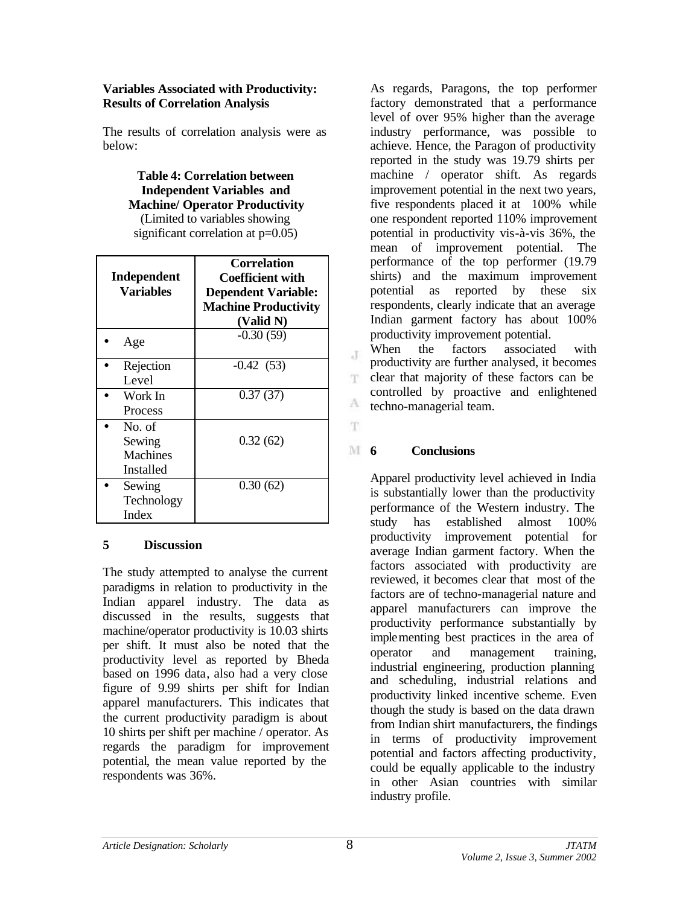### **Variables Associated with Productivity: Results of Correlation Analysis**

The results of correlation analysis were as below:

> **Table 4: Correlation between Independent Variables and Machine/ Operator Productivity** (Limited to variables showing

significant correlation at  $p=0.05$ )

| Independent<br><b>Variables</b>           | <b>Correlation</b><br><b>Coefficient with</b><br><b>Dependent Variable:</b><br><b>Machine Productivity</b><br>(Valid N) |
|-------------------------------------------|-------------------------------------------------------------------------------------------------------------------------|
| Age                                       | $-0.30(59)$                                                                                                             |
| Rejection<br>Level                        | $-0.42(53)$                                                                                                             |
| Work In<br>Process                        | 0.37(37)                                                                                                                |
| No. of<br>Sewing<br>Machines<br>Installed | 0.32(62)                                                                                                                |
| Sewing<br>Technology<br>Index             | 0.30(62)                                                                                                                |

## **5 Discussion**

The study attempted to analyse the current paradigms in relation to productivity in the Indian apparel industry. The data as discussed in the results, suggests that machine/operator productivity is 10.03 shirts per shift. It must also be noted that the productivity level as reported by Bheda based on 1996 data, also had a very close figure of 9.99 shirts per shift for Indian apparel manufacturers. This indicates that the current productivity paradigm is about 10 shirts per shift per machine / operator. As regards the paradigm for improvement potential, the mean value reported by the respondents was 36%.

As regards, Paragons, the top performer factory demonstrated that a performance level of over 95% higher than the average industry performance, was possible to achieve. Hence, the Paragon of productivity reported in the study was 19.79 shirts per machine / operator shift. As regards improvement potential in the next two years, five respondents placed it at 100% while one respondent reported 110% improvement potential in productivity vis-à-vis 36%, the mean of improvement potential. The performance of the top performer (19.79 shirts) and the maximum improvement potential as reported by these six respondents, clearly indicate that an average Indian garment factory has about 100% productivity improvement potential.

When the factors associated with productivity are further analysed, it becomes clear that majority of these factors can be T. controlled by proactive and enlightened A techno-managerial team.

# **14 6 Conclusions**

 $\mathbf{J}$ 

T.

Apparel productivity level achieved in India is substantially lower than the productivity performance of the Western industry. The study has established almost 100% productivity improvement potential for average Indian garment factory. When the factors associated with productivity are reviewed, it becomes clear that most of the factors are of techno-managerial nature and apparel manufacturers can improve the productivity performance substantially by implementing best practices in the area of operator and management training, industrial engineering, production planning and scheduling, industrial relations and productivity linked incentive scheme. Even though the study is based on the data drawn from Indian shirt manufacturers, the findings in terms of productivity improvement potential and factors affecting productivity, could be equally applicable to the industry in other Asian countries with similar industry profile.